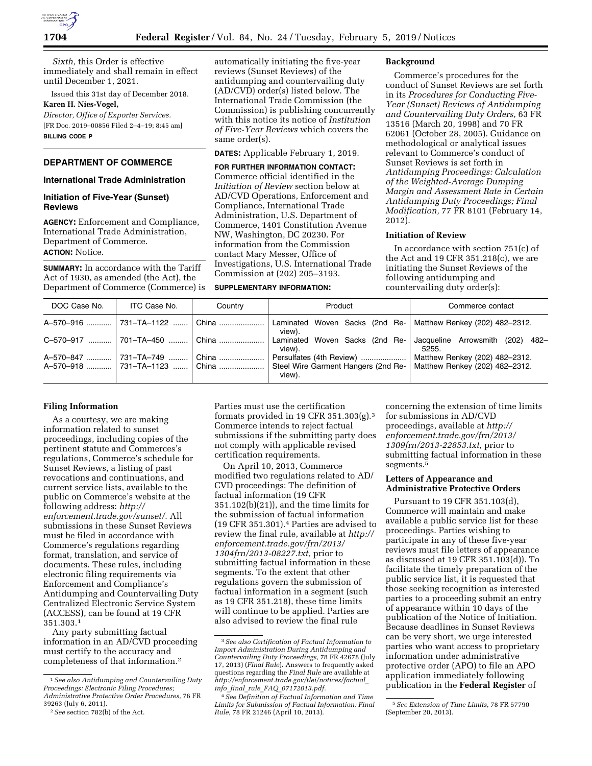

*Sixth,* this Order is effective immediately and shall remain in effect until December 1, 2021.

Issued this 31st day of December 2018. **Karen H. Nies-Vogel,** 

*Director, Office of Exporter Services.*  [FR Doc. 2019–00856 Filed 2–4–19; 8:45 am] **BILLING CODE P** 

## **DEPARTMENT OF COMMERCE**

# **International Trade Administration**

### **Initiation of Five-Year (Sunset) Reviews**

**AGENCY:** Enforcement and Compliance, International Trade Administration, Department of Commerce. **ACTION:** Notice.

**SUMMARY:** In accordance with the Tariff Act of 1930, as amended (the Act), the Department of Commerce (Commerce) is automatically initiating the five-year reviews (Sunset Reviews) of the antidumping and countervailing duty (AD/CVD) order(s) listed below. The International Trade Commission (the Commission) is publishing concurrently with this notice its notice of *Institution of Five-Year Reviews* which covers the same order(s).

**DATES:** Applicable February 1, 2019.

#### **FOR FURTHER INFORMATION CONTACT:**

Commerce official identified in the *Initiation of Review* section below at AD/CVD Operations, Enforcement and Compliance, International Trade Administration, U.S. Department of Commerce, 1401 Constitution Avenue NW, Washington, DC 20230. For information from the Commission contact Mary Messer, Office of Investigations, U.S. International Trade Commission at (202) 205–3193.

### **SUPPLEMENTARY INFORMATION:**

#### **Background**

Commerce's procedures for the conduct of Sunset Reviews are set forth in its *Procedures for Conducting Five-Year (Sunset) Reviews of Antidumping and Countervailing Duty Orders,* 63 FR 13516 (March 20, 1998) and 70 FR 62061 (October 28, 2005). Guidance on methodological or analytical issues relevant to Commerce's conduct of Sunset Reviews is set forth in *Antidumping Proceedings: Calculation of the Weighted-Average Dumping Margin and Assessment Rate in Certain Antidumping Duty Proceedings; Final Modification,* 77 FR 8101 (February 14, 2012).

# **Initiation of Review**

In accordance with section 751(c) of the Act and 19 CFR 351.218(c), we are initiating the Sunset Reviews of the following antidumping and countervailing duty order(s):

| DOC Case No. | ITC Case No.                  | Country | Product                                                                   | Commerce contact                                                 |
|--------------|-------------------------------|---------|---------------------------------------------------------------------------|------------------------------------------------------------------|
|              | A-570-916  731-TA-1122  China |         | Laminated Woven Sacks (2nd Re-<br>view).                                  | Matthew Renkey (202) 482-2312.                                   |
|              | C-570-917  701-TA-450  China  |         | Laminated Woven Sacks (2nd Re-<br>view).                                  | Jacqueline Arrowsmith (202)<br>-482<br>5255.                     |
|              | A-570-918  731-TA-1123  China | ⊟ China | Persulfates (4th Review)<br>Steel Wire Garment Hangers (2nd Re-<br>view). | Matthew Renkey (202) 482-2312.<br>Matthew Renkey (202) 482-2312. |

### **Filing Information**

As a courtesy, we are making information related to sunset proceedings, including copies of the pertinent statute and Commerces's regulations, Commerce's schedule for Sunset Reviews, a listing of past revocations and continuations, and current service lists, available to the public on Commerce's website at the following address: *[http://](http://enforcement.trade.gov/sunset/) [enforcement.trade.gov/sunset/.](http://enforcement.trade.gov/sunset/)* All submissions in these Sunset Reviews must be filed in accordance with Commerce's regulations regarding format, translation, and service of documents. These rules, including electronic filing requirements via Enforcement and Compliance's Antidumping and Countervailing Duty Centralized Electronic Service System (ACCESS), can be found at 19 CFR 351.303.1

Any party submitting factual information in an AD/CVD proceeding must certify to the accuracy and completeness of that information.2

Parties must use the certification formats provided in 19 CFR 351.303(g).3 Commerce intends to reject factual submissions if the submitting party does not comply with applicable revised certification requirements.

On April 10, 2013, Commerce modified two regulations related to AD/ CVD proceedings: The definition of factual information (19 CFR 351.102(b)(21)), and the time limits for the submission of factual information (19 CFR 351.301).4 Parties are advised to review the final rule, available at *[http://](http://enforcement.trade.gov/frn/2013/1304frn/2013-08227.txt)  [enforcement.trade.gov/frn/2013/](http://enforcement.trade.gov/frn/2013/1304frn/2013-08227.txt)  [1304frn/2013-08227.txt,](http://enforcement.trade.gov/frn/2013/1304frn/2013-08227.txt)* prior to submitting factual information in these segments. To the extent that other regulations govern the submission of factual information in a segment (such as 19 CFR 351.218), these time limits will continue to be applied. Parties are also advised to review the final rule

concerning the extension of time limits for submissions in AD/CVD proceedings, available at *[http://](http://enforcement.trade.gov/frn/2013/1309frn/2013-22853.txt) [enforcement.trade.gov/frn/2013/](http://enforcement.trade.gov/frn/2013/1309frn/2013-22853.txt)  [1309frn/2013-22853.txt,](http://enforcement.trade.gov/frn/2013/1309frn/2013-22853.txt)* prior to submitting factual information in these segments.<sup>5</sup>

## **Letters of Appearance and Administrative Protective Orders**

Pursuant to 19 CFR 351.103(d), Commerce will maintain and make available a public service list for these proceedings. Parties wishing to participate in any of these five-year reviews must file letters of appearance as discussed at 19 CFR 351.103(d)). To facilitate the timely preparation of the public service list, it is requested that those seeking recognition as interested parties to a proceeding submit an entry of appearance within 10 days of the publication of the Notice of Initiation. Because deadlines in Sunset Reviews can be very short, we urge interested parties who want access to proprietary information under administrative protective order (APO) to file an APO application immediately following publication in the **Federal Register** of

<sup>1</sup>*See also Antidumping and Countervailing Duty Proceedings: Electronic Filing Procedures; Administrative Protective Order Procedures,* 76 FR 39263 (July 6, 2011).

<sup>2</sup>*See* section 782(b) of the Act.

<sup>3</sup>*See also Certification of Factual Information to Import Administration During Antidumping and Countervailing Duty Proceedings,* 78 FR 42678 (July 17, 2013) (*Final Rule*). Answers to frequently asked questions regarding the *Final Rule* are available at *[http://enforcement.trade.gov/tlei/notices/factual](http://enforcement.trade.gov/tlei/notices/factual_info_final_rule_FAQ_07172013.pdf)*\_ *info*\_*final*\_*rule*\_*FAQ*\_*[07172013.pdf.](http://enforcement.trade.gov/tlei/notices/factual_info_final_rule_FAQ_07172013.pdf)* 

<sup>4</sup>*See Definition of Factual Information and Time Limits for Submission of Factual Information: Final Rule,* 78 FR 21246 (April 10, 2013).

<sup>5</sup>*See Extension of Time Limits,* 78 FR 57790 (September 20, 2013).